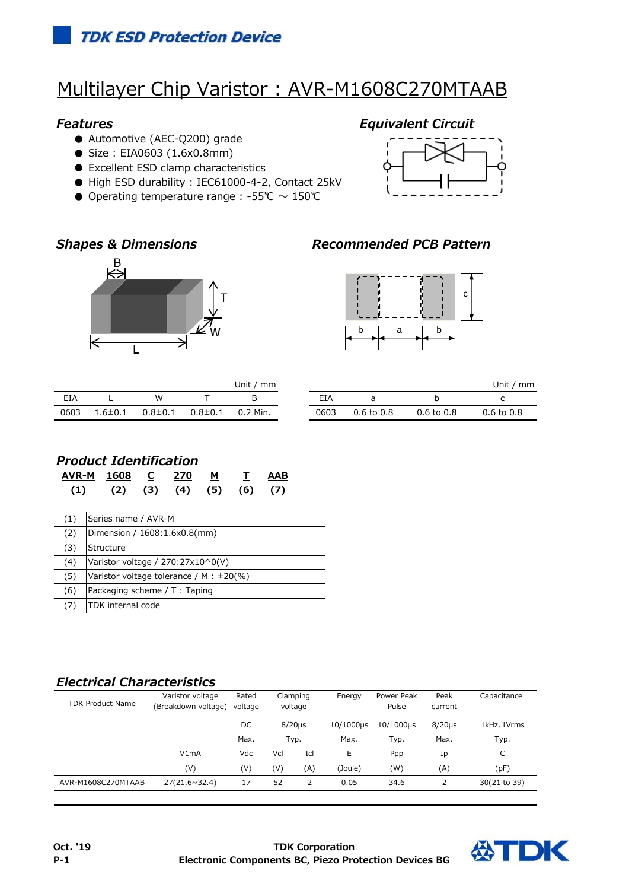# Multilayer Chip Varistor : AVR-M1608C270MTAAB

### *Features Equivalent Circuit*

- Automotive (AEC-Q200) grade
- Size: EIA0603 (1.6x0.8mm)
- Excellent ESD clamp characteristics
- High ESD durability : IEC61000-4-2, Contact 25kV
- Operating temperature range : -55℃  $\sim$  150℃







## *Shapes & Dimensions Recommended PCB Pattern*



|      |               |                                        | Unit / $mm$ |      |                |
|------|---------------|----------------------------------------|-------------|------|----------------|
| EIA  |               | w                                      | в           | FIA  | a              |
| 0603 | $1.6 \pm 0.1$ | $0.8{\pm}0.1$ $0.8{\pm}0.1$ $0.2$ Min. |             | 0603 | $0.6$ to $0.8$ |

| Unit / mm |      |                       |                       | Unit / mm             |
|-----------|------|-----------------------|-----------------------|-----------------------|
|           | FIA  | a                     |                       |                       |
| 0.2 Min.  | 0603 | $0.6 \text{ to } 0.8$ | $0.6 \text{ to } 0.8$ | $0.6 \text{ to } 0.8$ |

### *Product Identification*

| AVR-M<br>(1) | 1608<br>(2)                                   | C<br>(3) | 270<br>(4) | M<br>(5) | $\mathbf{T}$<br>(6) | AAB<br>(7) |  |
|--------------|-----------------------------------------------|----------|------------|----------|---------------------|------------|--|
| (1)          | Series name / AVR-M                           |          |            |          |                     |            |  |
| (2)          | Dimension / 1608:1.6x0.8(mm)                  |          |            |          |                     |            |  |
| (3)          | Structure                                     |          |            |          |                     |            |  |
| (4)          | Varistor voltage / $270:27\times10^0$ (V)     |          |            |          |                     |            |  |
| (5)          | Varistor voltage tolerance / M : $\pm 20\%$ ) |          |            |          |                     |            |  |
| (6)          | Packaging scheme / T: Taping                  |          |            |          |                     |            |  |

(7) TDK internal code

### *Electrical Characteristics*

| <b>TDK Product Name</b> | Varistor voltage<br>(Breakdown voltage) | Rated<br>voltage | Clamping<br>voltage |                | Energy    | Power Peak<br>Pulse | Peak<br>current | Capacitance  |
|-------------------------|-----------------------------------------|------------------|---------------------|----------------|-----------|---------------------|-----------------|--------------|
|                         |                                         | DC               | $8/20 \mu s$        |                | 10/1000µs | $10/1000 \mu s$     | $8/20\mu s$     | 1kHz, 1Vrms  |
|                         |                                         | Max.             | Typ.                |                | Max.      | Typ.                | Max.            | Typ.         |
|                         | V1mA                                    | Vdc              | Vcl                 | Icl            | E         | Ppp                 | Ip              | C            |
|                         | (V)                                     | (V)              | (V)                 | (A)            | (Joule)   | (W)                 | (A)             | (pF)         |
| AVR-M1608C270MTAAB      | 27(21.6~32.4)                           | 17               | 52                  | $\overline{2}$ | 0.05      | 34.6                |                 | 30(21 to 39) |
|                         |                                         |                  |                     |                |           |                     |                 |              |

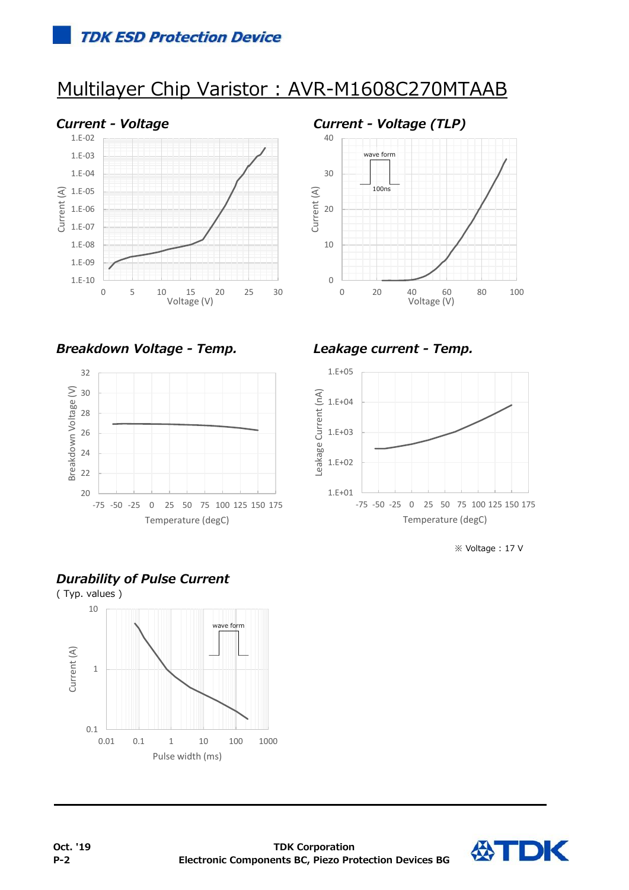# Multilayer Chip Varistor : AVR-M1608C270MTAAB





*Breakdown Voltage - Temp. Leakage current - Temp.*





※ Voltage : 17 V

## *Durability of Pulse Current*



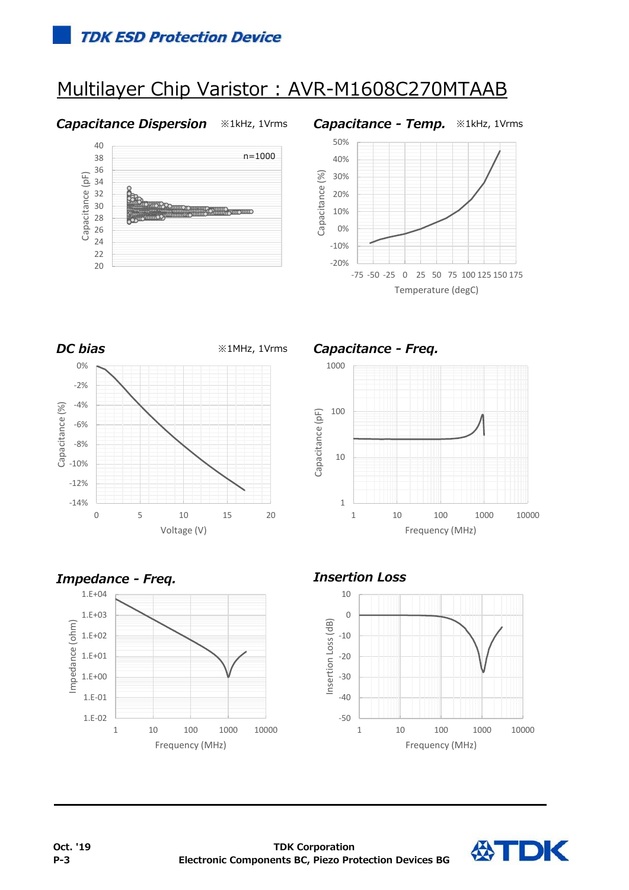# Multilayer Chip Varistor : AVR-M1608C270MTAAB